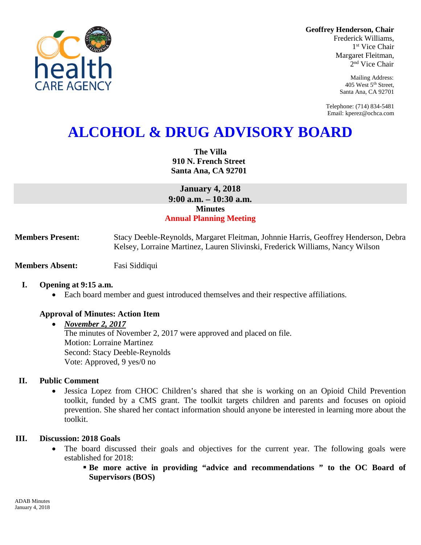**Geoffrey Henderson, Chair**

Frederick Williams, 1<sup>st</sup> Vice Chair Margaret Fleitman, 2nd Vice Chair

> Mailing Address: 405 West 5th Street, Santa Ana, CA 92701

Telephone: (714) 834-5481 Email: kperez@ochca.com

# **ALCOHOL & DRUG ADVISORY BOARD**

**The Villa 910 N. French Street Santa Ana, CA 92701**

**January 4, 2018 9:00 a.m. – 10:30 a.m. Minutes Annual Planning Meeting**

**Members Present:** Stacy Deeble-Reynolds, Margaret Fleitman, Johnnie Harris, Geoffrey Henderson, Debra Kelsey, Lorraine Martinez, Lauren Slivinski, Frederick Williams, Nancy Wilson

**Members Absent:** Fasi Siddiqui

## **I. Opening at 9:15 a.m.**

• Each board member and guest introduced themselves and their respective affiliations.

## **Approval of Minutes: Action Item**

• *November 2, 2017*

The minutes of November 2, 2017 were approved and placed on file. Motion: Lorraine Martinez Second: Stacy Deeble-Reynolds Vote: Approved, 9 yes/0 no

#### **II. Public Comment**

• Jessica Lopez from CHOC Children's shared that she is working on an Opioid Child Prevention toolkit, funded by a CMS grant. The toolkit targets children and parents and focuses on opioid prevention. She shared her contact information should anyone be interested in learning more about the toolkit.

#### **III. Discussion: 2018 Goals**

- The board discussed their goals and objectives for the current year. The following goals were established for 2018:
	- **Be more active in providing "advice and recommendations " to the OC Board of Supervisors (BOS)**

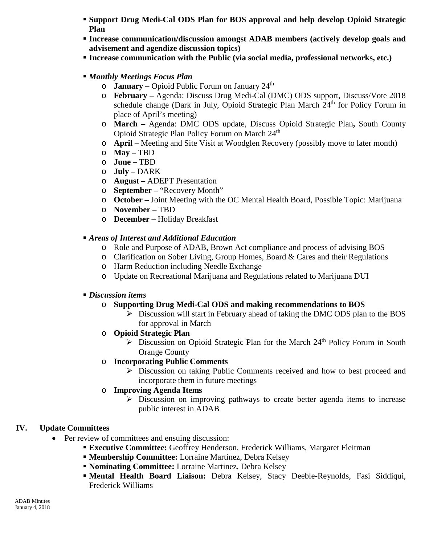- **Support Drug Medi-Cal ODS Plan for BOS approval and help develop Opioid Strategic Plan**
- **Increase communication/discussion amongst ADAB members (actively develop goals and advisement and agendize discussion topics)**
- **Increase communication with the Public (via social media, professional networks, etc.)**
- *Monthly Meetings Focus Plan*
	- o **January –** Opioid Public Forum on January 24th
	- o **February –** Agenda: Discuss Drug Medi-Cal (DMC) ODS support, Discuss/Vote 2018 schedule change (Dark in July, Opioid Strategic Plan March  $24<sup>th</sup>$  for Policy Forum in place of April's meeting)
	- o **March –** Agenda: DMC ODS update, Discuss Opioid Strategic Plan**,** South County Opioid Strategic Plan Policy Forum on March 24<sup>th</sup>
	- o **April –** Meeting and Site Visit at Woodglen Recovery (possibly move to later month)
	- o **May –** TBD
	- o **June –** TBD
	- o **July –** DARK
	- o **August –** ADEPT Presentation
	- o **September –** "Recovery Month"
	- o **October –** Joint Meeting with the OC Mental Health Board, Possible Topic: Marijuana
	- o **November –** TBD
	- o **December**  Holiday Breakfast
- *Areas of Interest and Additional Education*
	- o Role and Purpose of ADAB, Brown Act compliance and process of advising BOS
	- o Clarification on Sober Living, Group Homes, Board & Cares and their Regulations
	- o Harm Reduction including Needle Exchange
	- o Update on Recreational Marijuana and Regulations related to Marijuana DUI
- *Discussion items*
	- o **Supporting Drug Medi-Cal ODS and making recommendations to BOS**
		- $\triangleright$  Discussion will start in February ahead of taking the DMC ODS plan to the BOS for approval in March
	- o **Opioid Strategic Plan**
		- $\triangleright$  Discussion on Opioid Strategic Plan for the March 24<sup>th</sup> Policy Forum in South Orange County
	- o **Incorporating Public Comments**
		- Discussion on taking Public Comments received and how to best proceed and incorporate them in future meetings
	- o **Improving Agenda Items**
		- $\triangleright$  Discussion on improving pathways to create better agenda items to increase public interest in ADAB

## **IV. Update Committees**

- Per review of committees and ensuing discussion:
	- **Executive Committee:** Geoffrey Henderson, Frederick Williams, Margaret Fleitman
	- **Membership Committee:** Lorraine Martinez, Debra Kelsey
	- **Nominating Committee:** Lorraine Martinez, Debra Kelsey
	- **Mental Health Board Liaison:** Debra Kelsey, Stacy Deeble-Reynolds, Fasi Siddiqui, Frederick Williams